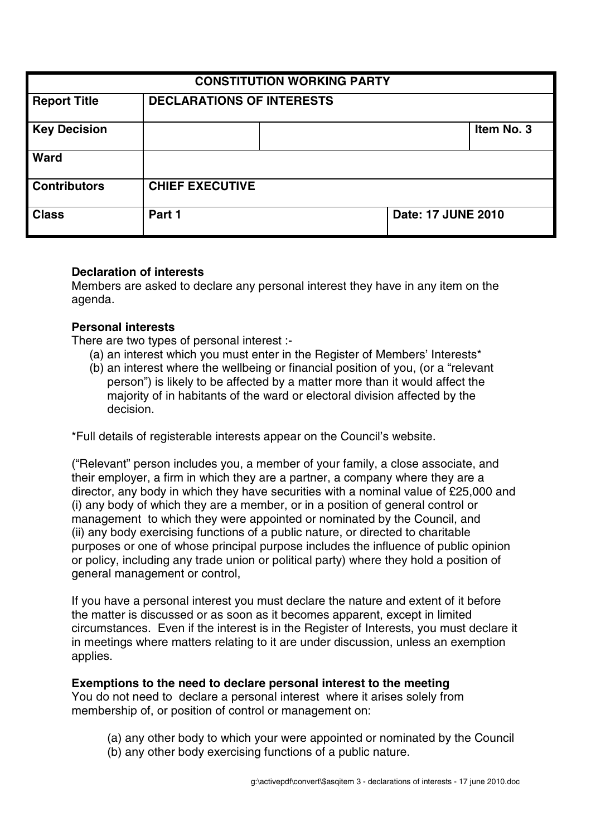| <b>CONSTITUTION WORKING PARTY</b> |                                  |  |                    |            |
|-----------------------------------|----------------------------------|--|--------------------|------------|
| <b>Report Title</b>               | <b>DECLARATIONS OF INTERESTS</b> |  |                    |            |
| <b>Key Decision</b>               |                                  |  |                    | Item No. 3 |
| Ward                              |                                  |  |                    |            |
| <b>Contributors</b>               | <b>CHIEF EXECUTIVE</b>           |  |                    |            |
| <b>Class</b>                      | Part 1                           |  | Date: 17 JUNE 2010 |            |

### **Declaration of interests**

Members are asked to declare any personal interest they have in any item on the agenda.

#### **Personal interests**

There are two types of personal interest :-

- (a) an interest which you must enter in the Register of Members' Interests\*
- (b) an interest where the wellbeing or financial position of you, (or a "relevant person") is likely to be affected by a matter more than it would affect the majority of in habitants of the ward or electoral division affected by the decision.

\*Full details of registerable interests appear on the Council's website.

("Relevant" person includes you, a member of your family, a close associate, and their employer, a firm in which they are a partner, a company where they are a director, any body in which they have securities with a nominal value of £25,000 and (i) any body of which they are a member, or in a position of general control or management to which they were appointed or nominated by the Council, and (ii) any body exercising functions of a public nature, or directed to charitable purposes or one of whose principal purpose includes the influence of public opinion or policy, including any trade union or political party) where they hold a position of general management or control,

If you have a personal interest you must declare the nature and extent of it before the matter is discussed or as soon as it becomes apparent, except in limited circumstances. Even if the interest is in the Register of Interests, you must declare it in meetings where matters relating to it are under discussion, unless an exemption applies.

#### **Exemptions to the need to declare personal interest to the meeting**

You do not need to declare a personal interest where it arises solely from membership of, or position of control or management on:

- (a) any other body to which your were appointed or nominated by the Council
- (b) any other body exercising functions of a public nature.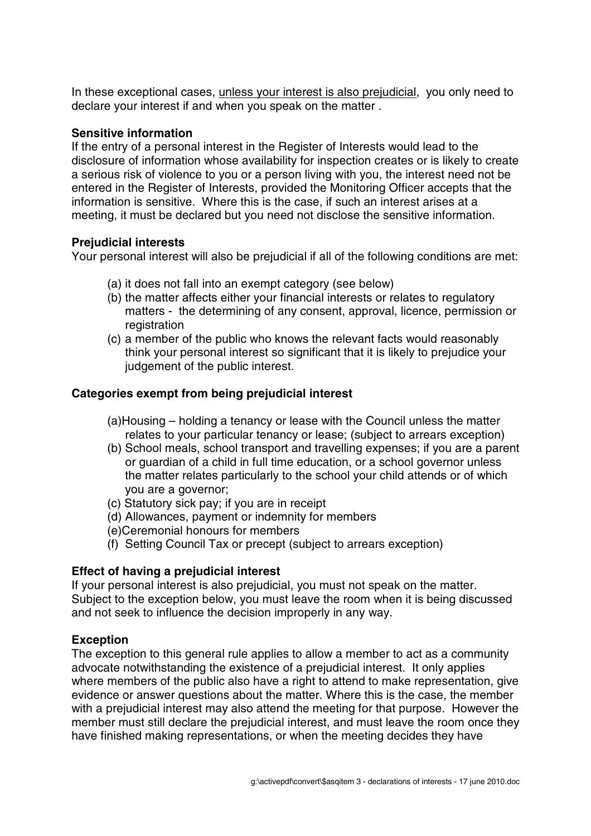In these exceptional cases, unless your interest is also prejudicial, you only need to declare your interest if and when you speak on the matter .

## **Sensitive information**

If the entry of a personal interest in the Register of Interests would lead to the disclosure of information whose availability for inspection creates or is likely to create a serious risk of violence to you or a person living with you, the interest need not be entered in the Register of Interests, provided the Monitoring Officer accepts that the information is sensitive. Where this is the case, if such an interest arises at a meeting, it must be declared but you need not disclose the sensitive information.

# **Prejudicial interests**

Your personal interest will also be prejudicial if all of the following conditions are met:

- (a) it does not fall into an exempt category (see below)
- (b) the matter affects either your financial interests or relates to regulatory matters - the determining of any consent, approval, licence, permission or registration
- (c) a member of the public who knows the relevant facts would reasonably think your personal interest so significant that it is likely to prejudice your judgement of the public interest.

# **Categories exempt from being prejudicial interest**

- (a)Housing holding a tenancy or lease with the Council unless the matter relates to your particular tenancy or lease; (subject to arrears exception)
- (b) School meals, school transport and travelling expenses; if you are a parent or guardian of a child in full time education, or a school governor unless the matter relates particularly to the school your child attends or of which you are a governor;
- (c) Statutory sick pay; if you are in receipt
- (d) Allowances, payment or indemnity for members
- (e)Ceremonial honours for members
- (f) Setting Council Tax or precept (subject to arrears exception)

# **Effect of having a prejudicial interest**

If your personal interest is also prejudicial, you must not speak on the matter. Subject to the exception below, you must leave the room when it is being discussed and not seek to influence the decision improperly in any way.

# **Exception**

The exception to this general rule applies to allow a member to act as a community advocate notwithstanding the existence of a prejudicial interest. It only applies where members of the public also have a right to attend to make representation, give evidence or answer questions about the matter. Where this is the case, the member with a prejudicial interest may also attend the meeting for that purpose. However the member must still declare the prejudicial interest, and must leave the room once they have finished making representations, or when the meeting decides they have